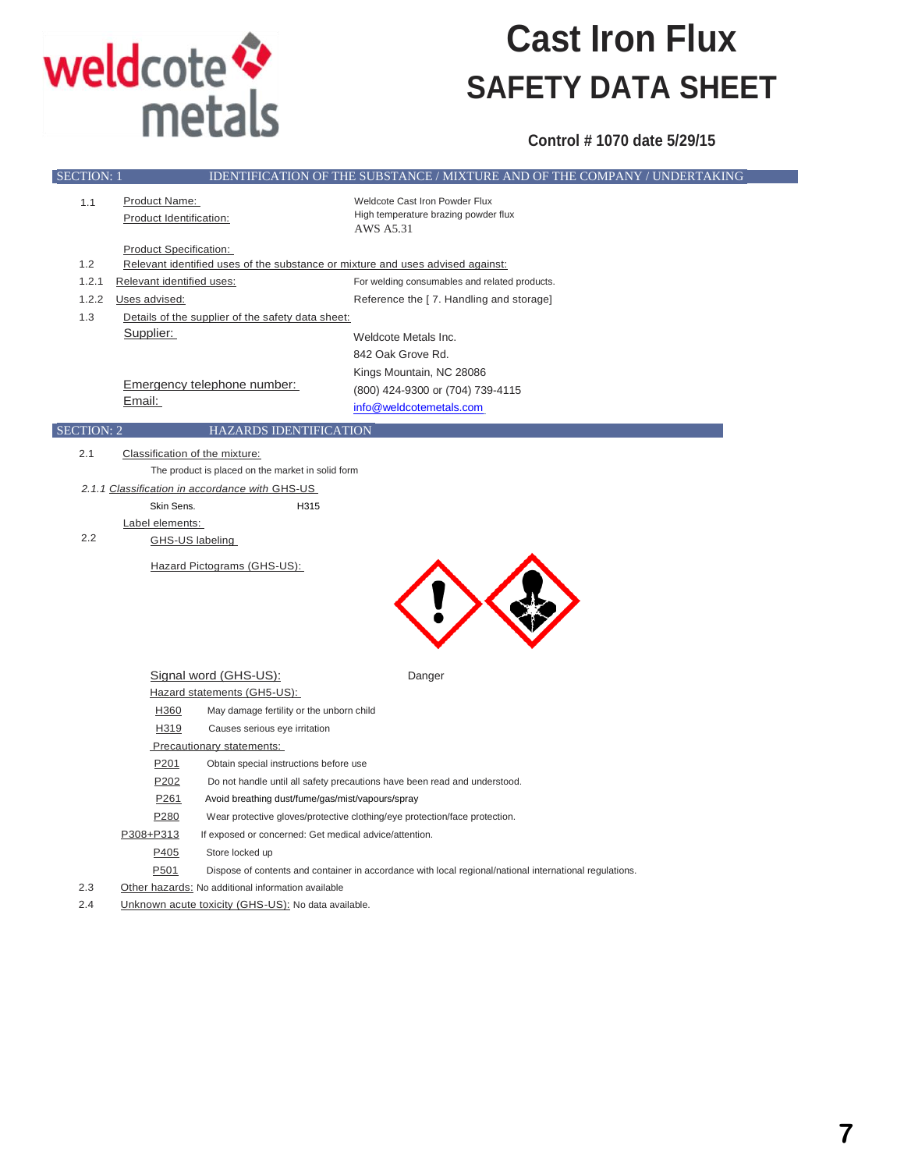

### **Cast Iron Flux SAFETY DATA SHEET**

**Control # 1070 date 5/29/15**

| <b>Product Name:</b><br>Weldcote Cast Iron Powder Flux<br>1.1<br>High temperature brazing powder flux<br>Product Identification:<br>AWS A5.31<br><b>Product Specification:</b><br>1.2<br>Relevant identified uses of the substance or mixture and uses advised against:<br>1.2.1<br>Relevant identified uses:<br>For welding consumables and related products.<br>1.2.2<br>Uses advised:<br>Reference the [7. Handling and storage]<br>1.3<br>Details of the supplier of the safety data sheet:<br>Supplier:<br>Weldcote Metals Inc.<br>842 Oak Grove Rd.<br>Kings Mountain, NC 28086<br>Emergency telephone number:<br>(800) 424-9300 or (704) 739-4115<br>Email:<br>info@weldcotemetals.com<br><b>SECTION: 2</b><br><b>HAZARDS IDENTIFICATION</b><br>2.1<br>Classification of the mixture:<br>The product is placed on the market in solid form<br>2.1.1 Classification in accordance with GHS-US<br>Skin Sens.<br>H315<br>Label elements:<br>2.2<br>GHS-US labeling<br>Hazard Pictograms (GHS-US):<br>Signal word (GHS-US):<br>Danger<br>Hazard statements (GH5-US):<br>H360<br>May damage fertility or the unborn child<br>H319<br>Causes serious eye irritation<br>Precautionary statements:<br>P <sub>201</sub><br>Obtain special instructions before use<br>P <sub>202</sub><br>Do not handle until all safety precautions have been read and understood.<br>P <sub>261</sub><br>Avoid breathing dust/fume/gas/mist/vapours/spray<br>P <sub>280</sub><br>Wear protective gloves/protective clothing/eye protection/face protection.<br>P308+P313<br>If exposed or concerned: Get medical advice/attention.<br>P405<br>Store locked up<br>P501<br>Dispose of contents and container in accordance with local regional/national international regulations. | <b>SECTION: 1</b> | IDENTIFICATION OF THE SUBSTANCE / MIXTURE AND OF THE COMPANY / UNDERTAKING |
|-----------------------------------------------------------------------------------------------------------------------------------------------------------------------------------------------------------------------------------------------------------------------------------------------------------------------------------------------------------------------------------------------------------------------------------------------------------------------------------------------------------------------------------------------------------------------------------------------------------------------------------------------------------------------------------------------------------------------------------------------------------------------------------------------------------------------------------------------------------------------------------------------------------------------------------------------------------------------------------------------------------------------------------------------------------------------------------------------------------------------------------------------------------------------------------------------------------------------------------------------------------------------------------------------------------------------------------------------------------------------------------------------------------------------------------------------------------------------------------------------------------------------------------------------------------------------------------------------------------------------------------------------------------------------------------------------------------------------------------------------------------------|-------------------|----------------------------------------------------------------------------|
|                                                                                                                                                                                                                                                                                                                                                                                                                                                                                                                                                                                                                                                                                                                                                                                                                                                                                                                                                                                                                                                                                                                                                                                                                                                                                                                                                                                                                                                                                                                                                                                                                                                                                                                                                                 |                   |                                                                            |
|                                                                                                                                                                                                                                                                                                                                                                                                                                                                                                                                                                                                                                                                                                                                                                                                                                                                                                                                                                                                                                                                                                                                                                                                                                                                                                                                                                                                                                                                                                                                                                                                                                                                                                                                                                 |                   |                                                                            |
|                                                                                                                                                                                                                                                                                                                                                                                                                                                                                                                                                                                                                                                                                                                                                                                                                                                                                                                                                                                                                                                                                                                                                                                                                                                                                                                                                                                                                                                                                                                                                                                                                                                                                                                                                                 |                   |                                                                            |
|                                                                                                                                                                                                                                                                                                                                                                                                                                                                                                                                                                                                                                                                                                                                                                                                                                                                                                                                                                                                                                                                                                                                                                                                                                                                                                                                                                                                                                                                                                                                                                                                                                                                                                                                                                 |                   |                                                                            |
|                                                                                                                                                                                                                                                                                                                                                                                                                                                                                                                                                                                                                                                                                                                                                                                                                                                                                                                                                                                                                                                                                                                                                                                                                                                                                                                                                                                                                                                                                                                                                                                                                                                                                                                                                                 |                   |                                                                            |
|                                                                                                                                                                                                                                                                                                                                                                                                                                                                                                                                                                                                                                                                                                                                                                                                                                                                                                                                                                                                                                                                                                                                                                                                                                                                                                                                                                                                                                                                                                                                                                                                                                                                                                                                                                 |                   |                                                                            |
|                                                                                                                                                                                                                                                                                                                                                                                                                                                                                                                                                                                                                                                                                                                                                                                                                                                                                                                                                                                                                                                                                                                                                                                                                                                                                                                                                                                                                                                                                                                                                                                                                                                                                                                                                                 |                   |                                                                            |
|                                                                                                                                                                                                                                                                                                                                                                                                                                                                                                                                                                                                                                                                                                                                                                                                                                                                                                                                                                                                                                                                                                                                                                                                                                                                                                                                                                                                                                                                                                                                                                                                                                                                                                                                                                 |                   |                                                                            |
|                                                                                                                                                                                                                                                                                                                                                                                                                                                                                                                                                                                                                                                                                                                                                                                                                                                                                                                                                                                                                                                                                                                                                                                                                                                                                                                                                                                                                                                                                                                                                                                                                                                                                                                                                                 |                   |                                                                            |
|                                                                                                                                                                                                                                                                                                                                                                                                                                                                                                                                                                                                                                                                                                                                                                                                                                                                                                                                                                                                                                                                                                                                                                                                                                                                                                                                                                                                                                                                                                                                                                                                                                                                                                                                                                 |                   |                                                                            |
|                                                                                                                                                                                                                                                                                                                                                                                                                                                                                                                                                                                                                                                                                                                                                                                                                                                                                                                                                                                                                                                                                                                                                                                                                                                                                                                                                                                                                                                                                                                                                                                                                                                                                                                                                                 |                   |                                                                            |
|                                                                                                                                                                                                                                                                                                                                                                                                                                                                                                                                                                                                                                                                                                                                                                                                                                                                                                                                                                                                                                                                                                                                                                                                                                                                                                                                                                                                                                                                                                                                                                                                                                                                                                                                                                 |                   |                                                                            |
|                                                                                                                                                                                                                                                                                                                                                                                                                                                                                                                                                                                                                                                                                                                                                                                                                                                                                                                                                                                                                                                                                                                                                                                                                                                                                                                                                                                                                                                                                                                                                                                                                                                                                                                                                                 |                   |                                                                            |
|                                                                                                                                                                                                                                                                                                                                                                                                                                                                                                                                                                                                                                                                                                                                                                                                                                                                                                                                                                                                                                                                                                                                                                                                                                                                                                                                                                                                                                                                                                                                                                                                                                                                                                                                                                 |                   |                                                                            |
|                                                                                                                                                                                                                                                                                                                                                                                                                                                                                                                                                                                                                                                                                                                                                                                                                                                                                                                                                                                                                                                                                                                                                                                                                                                                                                                                                                                                                                                                                                                                                                                                                                                                                                                                                                 |                   |                                                                            |
|                                                                                                                                                                                                                                                                                                                                                                                                                                                                                                                                                                                                                                                                                                                                                                                                                                                                                                                                                                                                                                                                                                                                                                                                                                                                                                                                                                                                                                                                                                                                                                                                                                                                                                                                                                 |                   |                                                                            |
|                                                                                                                                                                                                                                                                                                                                                                                                                                                                                                                                                                                                                                                                                                                                                                                                                                                                                                                                                                                                                                                                                                                                                                                                                                                                                                                                                                                                                                                                                                                                                                                                                                                                                                                                                                 |                   |                                                                            |
|                                                                                                                                                                                                                                                                                                                                                                                                                                                                                                                                                                                                                                                                                                                                                                                                                                                                                                                                                                                                                                                                                                                                                                                                                                                                                                                                                                                                                                                                                                                                                                                                                                                                                                                                                                 |                   |                                                                            |
|                                                                                                                                                                                                                                                                                                                                                                                                                                                                                                                                                                                                                                                                                                                                                                                                                                                                                                                                                                                                                                                                                                                                                                                                                                                                                                                                                                                                                                                                                                                                                                                                                                                                                                                                                                 |                   |                                                                            |
|                                                                                                                                                                                                                                                                                                                                                                                                                                                                                                                                                                                                                                                                                                                                                                                                                                                                                                                                                                                                                                                                                                                                                                                                                                                                                                                                                                                                                                                                                                                                                                                                                                                                                                                                                                 |                   |                                                                            |
|                                                                                                                                                                                                                                                                                                                                                                                                                                                                                                                                                                                                                                                                                                                                                                                                                                                                                                                                                                                                                                                                                                                                                                                                                                                                                                                                                                                                                                                                                                                                                                                                                                                                                                                                                                 |                   |                                                                            |
|                                                                                                                                                                                                                                                                                                                                                                                                                                                                                                                                                                                                                                                                                                                                                                                                                                                                                                                                                                                                                                                                                                                                                                                                                                                                                                                                                                                                                                                                                                                                                                                                                                                                                                                                                                 |                   |                                                                            |
|                                                                                                                                                                                                                                                                                                                                                                                                                                                                                                                                                                                                                                                                                                                                                                                                                                                                                                                                                                                                                                                                                                                                                                                                                                                                                                                                                                                                                                                                                                                                                                                                                                                                                                                                                                 |                   |                                                                            |
|                                                                                                                                                                                                                                                                                                                                                                                                                                                                                                                                                                                                                                                                                                                                                                                                                                                                                                                                                                                                                                                                                                                                                                                                                                                                                                                                                                                                                                                                                                                                                                                                                                                                                                                                                                 |                   |                                                                            |
|                                                                                                                                                                                                                                                                                                                                                                                                                                                                                                                                                                                                                                                                                                                                                                                                                                                                                                                                                                                                                                                                                                                                                                                                                                                                                                                                                                                                                                                                                                                                                                                                                                                                                                                                                                 |                   |                                                                            |
|                                                                                                                                                                                                                                                                                                                                                                                                                                                                                                                                                                                                                                                                                                                                                                                                                                                                                                                                                                                                                                                                                                                                                                                                                                                                                                                                                                                                                                                                                                                                                                                                                                                                                                                                                                 |                   |                                                                            |
|                                                                                                                                                                                                                                                                                                                                                                                                                                                                                                                                                                                                                                                                                                                                                                                                                                                                                                                                                                                                                                                                                                                                                                                                                                                                                                                                                                                                                                                                                                                                                                                                                                                                                                                                                                 |                   |                                                                            |
|                                                                                                                                                                                                                                                                                                                                                                                                                                                                                                                                                                                                                                                                                                                                                                                                                                                                                                                                                                                                                                                                                                                                                                                                                                                                                                                                                                                                                                                                                                                                                                                                                                                                                                                                                                 |                   |                                                                            |
|                                                                                                                                                                                                                                                                                                                                                                                                                                                                                                                                                                                                                                                                                                                                                                                                                                                                                                                                                                                                                                                                                                                                                                                                                                                                                                                                                                                                                                                                                                                                                                                                                                                                                                                                                                 |                   |                                                                            |
|                                                                                                                                                                                                                                                                                                                                                                                                                                                                                                                                                                                                                                                                                                                                                                                                                                                                                                                                                                                                                                                                                                                                                                                                                                                                                                                                                                                                                                                                                                                                                                                                                                                                                                                                                                 |                   |                                                                            |
|                                                                                                                                                                                                                                                                                                                                                                                                                                                                                                                                                                                                                                                                                                                                                                                                                                                                                                                                                                                                                                                                                                                                                                                                                                                                                                                                                                                                                                                                                                                                                                                                                                                                                                                                                                 |                   |                                                                            |
|                                                                                                                                                                                                                                                                                                                                                                                                                                                                                                                                                                                                                                                                                                                                                                                                                                                                                                                                                                                                                                                                                                                                                                                                                                                                                                                                                                                                                                                                                                                                                                                                                                                                                                                                                                 |                   |                                                                            |
|                                                                                                                                                                                                                                                                                                                                                                                                                                                                                                                                                                                                                                                                                                                                                                                                                                                                                                                                                                                                                                                                                                                                                                                                                                                                                                                                                                                                                                                                                                                                                                                                                                                                                                                                                                 |                   |                                                                            |
|                                                                                                                                                                                                                                                                                                                                                                                                                                                                                                                                                                                                                                                                                                                                                                                                                                                                                                                                                                                                                                                                                                                                                                                                                                                                                                                                                                                                                                                                                                                                                                                                                                                                                                                                                                 |                   |                                                                            |
|                                                                                                                                                                                                                                                                                                                                                                                                                                                                                                                                                                                                                                                                                                                                                                                                                                                                                                                                                                                                                                                                                                                                                                                                                                                                                                                                                                                                                                                                                                                                                                                                                                                                                                                                                                 |                   |                                                                            |
|                                                                                                                                                                                                                                                                                                                                                                                                                                                                                                                                                                                                                                                                                                                                                                                                                                                                                                                                                                                                                                                                                                                                                                                                                                                                                                                                                                                                                                                                                                                                                                                                                                                                                                                                                                 |                   |                                                                            |
| 2.3<br>Other hazards: No additional information available                                                                                                                                                                                                                                                                                                                                                                                                                                                                                                                                                                                                                                                                                                                                                                                                                                                                                                                                                                                                                                                                                                                                                                                                                                                                                                                                                                                                                                                                                                                                                                                                                                                                                                       |                   |                                                                            |
| 2.4<br>Unknown acute toxicity (GHS-US): No data available.                                                                                                                                                                                                                                                                                                                                                                                                                                                                                                                                                                                                                                                                                                                                                                                                                                                                                                                                                                                                                                                                                                                                                                                                                                                                                                                                                                                                                                                                                                                                                                                                                                                                                                      |                   |                                                                            |
|                                                                                                                                                                                                                                                                                                                                                                                                                                                                                                                                                                                                                                                                                                                                                                                                                                                                                                                                                                                                                                                                                                                                                                                                                                                                                                                                                                                                                                                                                                                                                                                                                                                                                                                                                                 |                   |                                                                            |
|                                                                                                                                                                                                                                                                                                                                                                                                                                                                                                                                                                                                                                                                                                                                                                                                                                                                                                                                                                                                                                                                                                                                                                                                                                                                                                                                                                                                                                                                                                                                                                                                                                                                                                                                                                 |                   |                                                                            |
|                                                                                                                                                                                                                                                                                                                                                                                                                                                                                                                                                                                                                                                                                                                                                                                                                                                                                                                                                                                                                                                                                                                                                                                                                                                                                                                                                                                                                                                                                                                                                                                                                                                                                                                                                                 |                   |                                                                            |
|                                                                                                                                                                                                                                                                                                                                                                                                                                                                                                                                                                                                                                                                                                                                                                                                                                                                                                                                                                                                                                                                                                                                                                                                                                                                                                                                                                                                                                                                                                                                                                                                                                                                                                                                                                 |                   |                                                                            |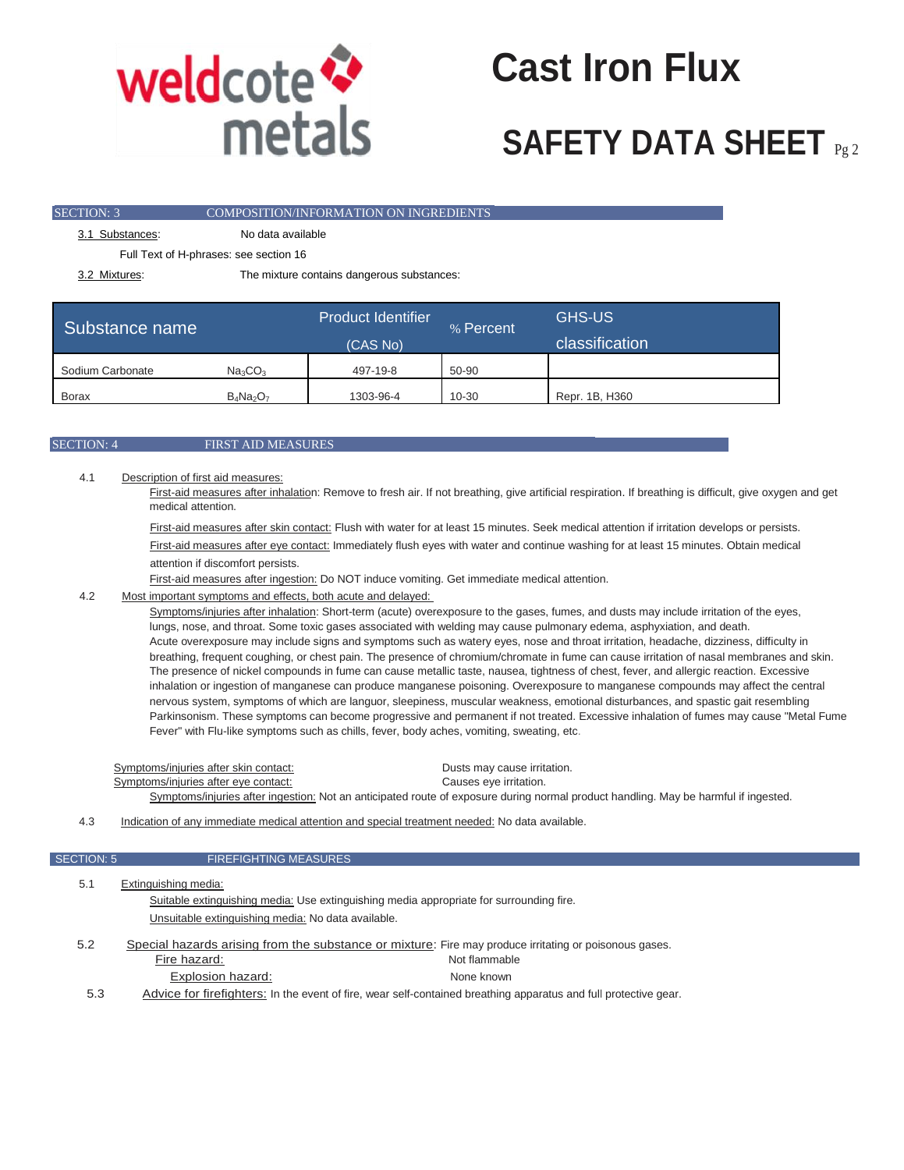

## **Cast Iron Flux**

### **SAFETY DATA SHEET** Pg 2

| <b>SECTION: 3</b> | COMPOSITION/INFORMATION ON INGREDIENTS     |  |
|-------------------|--------------------------------------------|--|
| 3.1 Substances:   | No data available                          |  |
|                   | Full Text of H-phrases: see section 16     |  |
| 3.2 Mixtures:     | The mixture contains dangerous substances: |  |

| Substance name   |                                 | <b>Product Identifier</b><br>(CAS No) | % Percent | <b>GHS-US</b><br>classification |
|------------------|---------------------------------|---------------------------------------|-----------|---------------------------------|
| Sodium Carbonate | Na <sub>3</sub> CO <sub>3</sub> | 497-19-8                              | 50-90     |                                 |
| Borax            | $B_4Na_2O_7$                    | 1303-96-4                             | 10-30     | Repr. 1B, H360                  |

### SECTION: 4 FIRST AID MEASURES

4.1 Description of first aid measures:

First-aid measures after inhalation: Remove to fresh air. If not breathing, give artificial respiration. If breathing is difficult, give oxygen and get medical attention.

First-aid measures after skin contact: Flush with water for at least 15 minutes. Seek medical attention if irritation develops or persists. First-aid measures after eye contact: Immediately flush eyes with water and continue washing for at least 15 minutes. Obtain medical attention if discomfort persists.

First-aid measures after ingestion: Do NOT induce vomiting. Get immediate medical attention.

### 4.2 Most important symptoms and effects, both acute and delayed:

Symptoms/injuries after inhalation: Short-term (acute) overexposure to the gases, fumes, and dusts may include irritation of the eyes, lungs, nose, and throat. Some toxic gases associated with welding may cause pulmonary edema, asphyxiation, and death. Acute overexposure may include signs and symptoms such as watery eyes, nose and throat irritation, headache, dizziness, difficulty in breathing, frequent coughing, or chest pain. The presence of chromium/chromate in fume can cause irritation of nasal membranes and skin. The presence of nickel compounds in fume can cause metallic taste, nausea, tightness of chest, fever, and allergic reaction. Excessive inhalation or ingestion of manganese can produce manganese poisoning. Overexposure to manganese compounds may affect the central nervous system, symptoms of which are languor, sleepiness, muscular weakness, emotional disturbances, and spastic gait resembling Parkinsonism. These symptoms can become progressive and permanent if not treated. Excessive inhalation of fumes may cause "Metal Fume Fever" with Flu-like symptoms such as chills, fever, body aches, vomiting, sweating, etc.

Symptoms/injuries after skin contact: Dusts may cause irritation. Symptoms/injuries after eye contact: Causes eye irritation. Symptoms/injuries after ingestion: Not an anticipated route of exposure during normal product handling. May be harmful if ingested.

4.3 Indication of any immediate medical attention and special treatment needed: No data available.

### SECTION: 5 FIREFIGHTING MEASURES

| 5.1 | Extinguishing media:                                                                                   |
|-----|--------------------------------------------------------------------------------------------------------|
|     | Suitable extinguishing media: Use extinguishing media appropriate for surrounding fire.                |
|     | Unsuitable extinguishing media: No data available.                                                     |
| 5.2 | Special hazards arising from the substance or mixture: Fire may produce irritating or poisonous gases. |
|     | Fire hazard:<br>Not flammable                                                                          |

Explosion hazard: None known 5.3 Advice for firefighters: In the event of fire, wear self-contained breathing apparatus and full protective gear.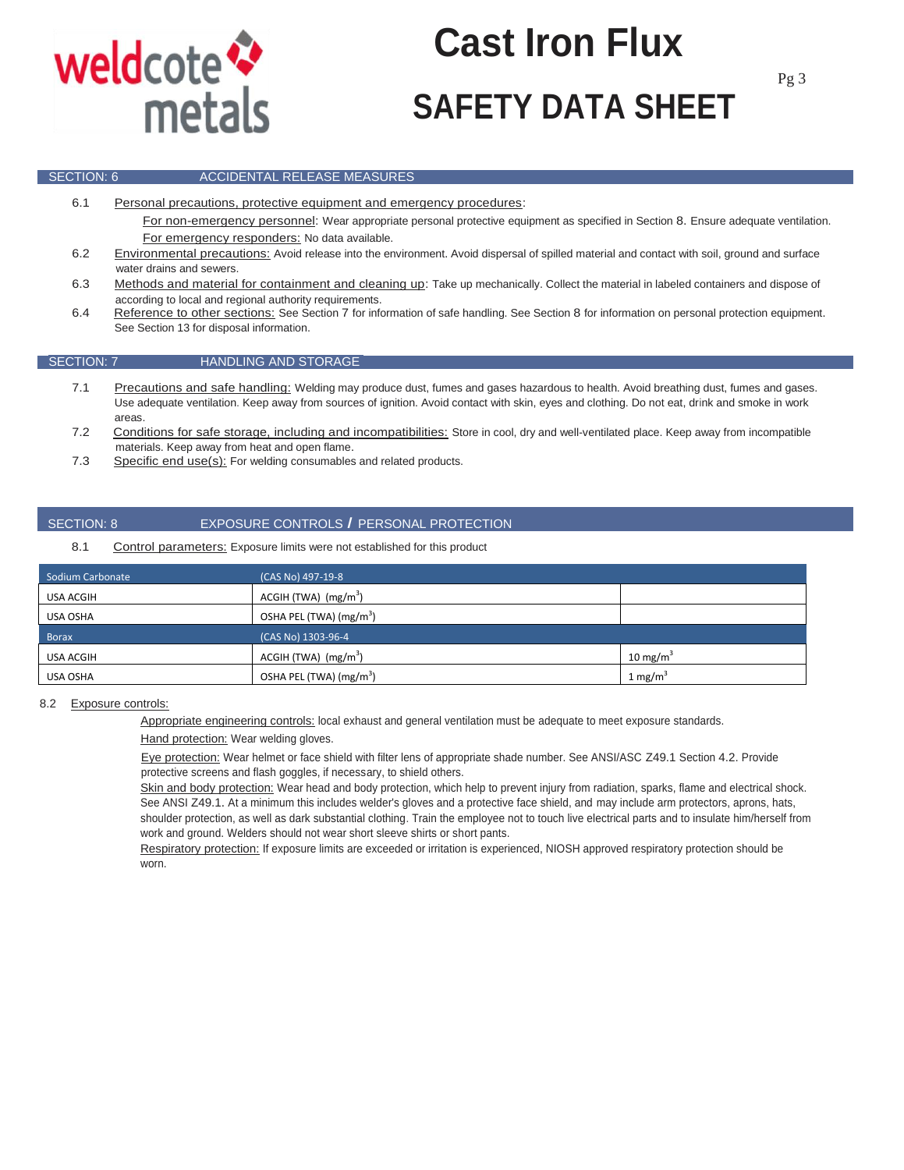

# **SAFETY DATA SHEET Cast Iron Flux**

### **SECTION: 6 ACCIDENTAL RELEASE MEASURES**

6.1 Personal precautions, protective equipment and emergency procedures:

For non-emergency personnel: Wear appropriate personal protective equipment as specified in Section 8. Ensure adequate ventilation. For emergency responders: No data available.

- 6.2 Environmental precautions: Avoid release into the environment. Avoid dispersal of spilled material and contact with soil, ground and surface water drains and sewers.
- 6.3 Methods and material for containment and cleaning up: Take up mechanically. Collect the material in labeled containers and dispose of according to local and regional authority requirements.
- 6.4 Reference to other sections: See Section 7 for information of safe handling. See Section 8 for information on personal protection equipment. See Section 13 for disposal information.

### SECTION: 7 HANDLING AND STORAGE

- 7.1 Precautions and safe handling: Welding may produce dust, fumes and gases hazardous to health. Avoid breathing dust, fumes and gases. Use adequate ventilation. Keep away from sources of ignition. Avoid contact with skin, eyes and clothing. Do not eat, drink and smoke in work areas.
- 7.2 Conditions for safe storage, including and incompatibilities: Store in cool, dry and well-ventilated place. Keep away from incompatible materials. Keep away from heat and open flame.
- 7.3 Specific end use(s): For welding consumables and related products.

### SECTION: 8 EXPOSURE CONTROLS *I* PERSONAL PROTECTION

### 8.1 Control parameters: Exposure limits were not established for this product

| Sodium Carbonate | (CAS No) 497-19-8                   |                      |
|------------------|-------------------------------------|----------------------|
| USA ACGIH        | $ACGH$ (TWA) $(mg/m3)$              |                      |
| USA OSHA         | OSHA PEL (TWA) (mg/m <sup>3</sup> ) |                      |
| <b>Borax</b>     | (CAS No) 1303-96-4                  |                      |
| <b>USA ACGIH</b> | $ACGH$ (TWA) $(mg/m3)$              | 10 mg/m <sup>3</sup> |
| USA OSHA         | OSHA PEL (TWA) (mg/m <sup>3</sup> ) | 1 mg/m <sup>3</sup>  |

### 8.2 Exposure controls:

Appropriate engineering controls: local exhaust and general ventilation must be adequate to meet exposure standards.

Hand protection: Wear welding gloves.

Eye protection: Wear helmet or face shield with filter lens of appropriate shade number. See ANSI/ASC Z49.1 Section 4.2. Provide protective screens and flash goggles, if necessary, to shield others.

Skin and body protection: Wear head and body protection, which help to prevent injury from radiation, sparks, flame and electrical shock. See ANSI Z49.1. At a minimum this includes welder's gloves and a protective face shield, and may include arm protectors, aprons, hats, shoulder protection, as well as dark substantial clothing. Train the employee not to touch live electrical parts and to insulate him/herself from work and ground. Welders should not wear short sleeve shirts or short pants.

Respiratory protection: If exposure limits are exceeded or irritation is experienced, NIOSH approved respiratory protection should be worn.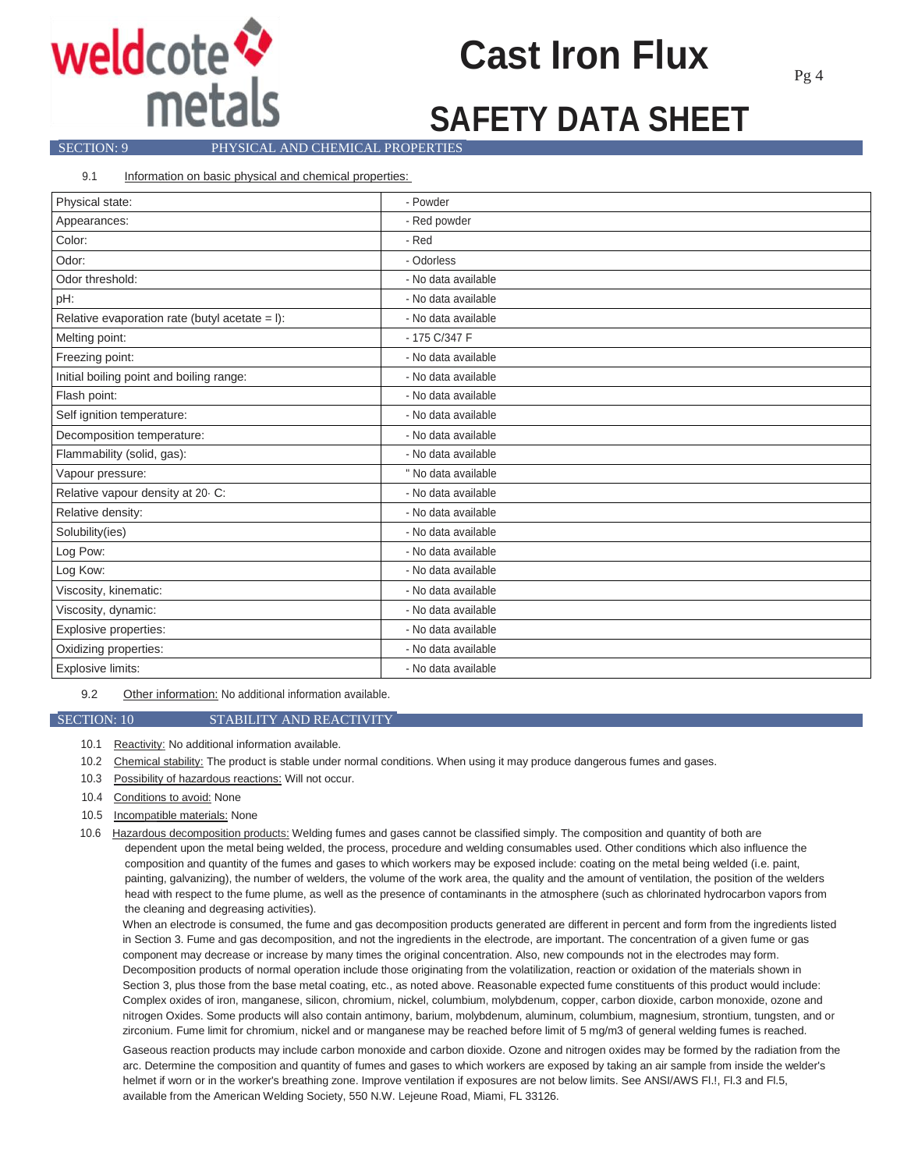

## **Cast Iron Flux**

### **SECTION: 9** PHYSICAL AND CHEMICAL PROPERTIES

9.1 Information on basic physical and chemical properties:

| Physical state:                                  | - Powder            |
|--------------------------------------------------|---------------------|
| Appearances:                                     | - Red powder        |
| Color:                                           | - Red               |
| Odor:                                            | - Odorless          |
| Odor threshold:                                  | - No data available |
| pH:                                              | - No data available |
| Relative evaporation rate (butyl acetate $=$ I): | - No data available |
| Melting point:                                   | - 175 C/347 F       |
| Freezing point:                                  | - No data available |
| Initial boiling point and boiling range:         | - No data available |
| Flash point:                                     | - No data available |
| Self ignition temperature:                       | - No data available |
| Decomposition temperature:                       | - No data available |
| Flammability (solid, gas):                       | - No data available |
| Vapour pressure:                                 | " No data available |
| Relative vapour density at 20 C:                 | - No data available |
| Relative density:                                | - No data available |
| Solubility(ies)                                  | - No data available |
| Log Pow:                                         | - No data available |
| Log Kow:                                         | - No data available |
| Viscosity, kinematic:                            | - No data available |
| Viscosity, dynamic:                              | - No data available |
| Explosive properties:                            | - No data available |
| Oxidizing properties:                            | - No data available |
| Explosive limits:                                | - No data available |

9.2 Other information: No additional information available.

### SECTION: 10 STABILITY AND REACTIVITY

10.1 Reactivity: No additional information available.

- 10.2 Chemical stability: The product is stable under normal conditions. When using it may produce dangerous fumes and gases.
- 10.3 Possibility of hazardous reactions: Will not occur.
- 10.4 Conditions to avoid: None
- 10.5 Incompatible materials: None
- 10.6 Hazardous decomposition products: Welding fumes and gases cannot be classified simply. The composition and quantity of both are dependent upon the metal being welded, the process, procedure and welding consumables used. Other conditions which also influence the composition and quantity of the fumes and gases to which workers may be exposed include: coating on the metal being welded (i.e. paint, painting, galvanizing), the number of welders, the volume of the work area, the quality and the amount of ventilation, the position of the welders head with respect to the fume plume, as well as the presence of contaminants in the atmosphere (such as chlorinated hydrocarbon vapors from the cleaning and degreasing activities).

When an electrode is consumed, the fume and gas decomposition products generated are different in percent and form from the ingredients listed in Section 3. Fume and gas decomposition, and not the ingredients in the electrode, are important. The concentration of a given fume or gas component may decrease or increase by many times the original concentration. Also, new compounds not in the electrodes may form. Decomposition products of normal operation include those originating from the volatilization, reaction or oxidation of the materials shown in Section 3, plus those from the base metal coating, etc., as noted above. Reasonable expected fume constituents of this product would include: Complex oxides of iron, manganese, silicon, chromium, nickel, columbium, molybdenum, copper, carbon dioxide, carbon monoxide, ozone and nitrogen Oxides. Some products will also contain antimony, barium, molybdenum, aluminum, columbium, magnesium, strontium, tungsten, and or zirconium. Fume limit for chromium, nickel and or manganese may be reached before limit of 5 mg/m3 of general welding fumes is reached.

Gaseous reaction products may include carbon monoxide and carbon dioxide. Ozone and nitrogen oxides may be formed by the radiation from the arc. Determine the composition and quantity of fumes and gases to which workers are exposed by taking an air sample from inside the welder's helmet if worn or in the worker's breathing zone. Improve ventilation if exposures are not below limits. See ANSI/AWS Fl.!, Fl.3 and Fl.5, available from the American Welding Society, 550 N.W. Lejeune Road, Miami, FL 33126.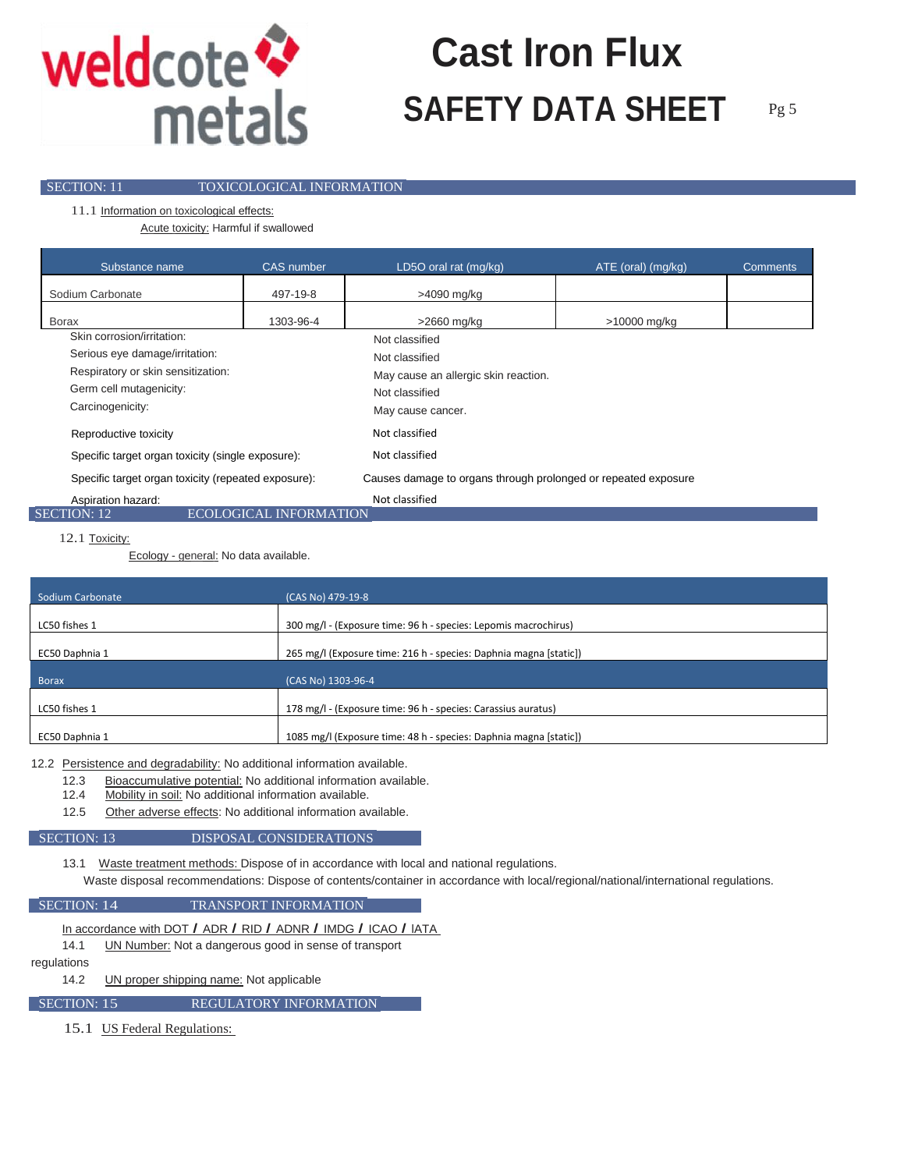

## **SAFETY DATA SHEET** Pg 5 **Cast Iron Flux**

**SECTION: 11 TOXICOLOGICAL INFORMATION** 

11.1 Information on toxicological effects:

Acute toxicity: Harmful if swallowed

| Substance name                                      | <b>CAS</b> number      | LD5O oral rat (mg/kg)                                          | ATE (oral) (mg/kg) | <b>Comments</b> |
|-----------------------------------------------------|------------------------|----------------------------------------------------------------|--------------------|-----------------|
| Sodium Carbonate                                    | 497-19-8               | >4090 mg/kg                                                    |                    |                 |
| <b>Borax</b>                                        | 1303-96-4              | >2660 mg/kg                                                    | >10000 mg/kg       |                 |
| Skin corrosion/irritation:                          |                        | Not classified                                                 |                    |                 |
| Serious eye damage/irritation:                      |                        | Not classified                                                 |                    |                 |
| Respiratory or skin sensitization:                  |                        | May cause an allergic skin reaction.                           |                    |                 |
| Germ cell mutagenicity:                             |                        | Not classified                                                 |                    |                 |
| Carcinogenicity:                                    |                        | May cause cancer.                                              |                    |                 |
| Reproductive toxicity                               |                        | Not classified                                                 |                    |                 |
| Specific target organ toxicity (single exposure):   |                        | Not classified                                                 |                    |                 |
| Specific target organ toxicity (repeated exposure): |                        | Causes damage to organs through prolonged or repeated exposure |                    |                 |
| Aspiration hazard:                                  |                        | Not classified                                                 |                    |                 |
| <b>SECTION: 12</b>                                  | ECOLOGICAL INFORMATION |                                                                |                    |                 |

12.1 Toxicity:

Ecology - general: No data available.

| Sodium Carbonate                                | (CAS No) 479-19-8                                                                                                                                                                                                             |
|-------------------------------------------------|-------------------------------------------------------------------------------------------------------------------------------------------------------------------------------------------------------------------------------|
| LC50 fishes 1                                   | 300 mg/l - (Exposure time: 96 h - species: Lepomis macrochirus)                                                                                                                                                               |
| EC50 Daphnia 1                                  |                                                                                                                                                                                                                               |
|                                                 |                                                                                                                                                                                                                               |
|                                                 |                                                                                                                                                                                                                               |
|                                                 |                                                                                                                                                                                                                               |
| <b>Borax</b><br>LC50 fishes 1<br>EC50 Daphnia 1 | 265 mg/l (Exposure time: 216 h - species: Daphnia magna [static])<br>(CAS No) 1303-96-4<br>178 mg/l - (Exposure time: 96 h - species: Carassius auratus)<br>1085 mg/l (Exposure time: 48 h - species: Daphnia magna [static]) |

12.2 Persistence and degradability: No additional information available.

- 12.3 Bioaccumulative potential: No additional information available.
- 12.4 Mobility in soil: No additional information available.
- 12.5 Other adverse effects: No additional information available.

### SECTION: 13 DISPOSAL CONSIDERATIONS

13.1 Waste treatment methods: Dispose of in accordance with local and national regulations.

Waste disposal recommendations: Dispose of contents/container in accordance with local/regional/national/international regulations.

### **SECTION: 14** TRANSPORT INFORMATION

In accordance with DOT *I* ADR *I* RID *I* ADNR *I* IMDG *I* ICAO *I* lATA

14.1 UN Number: Not a dangerous good in sense of transport

regulations

14.2 UN proper shipping name: Not applicable

SECTION: 15 REGULATORY INFORMATION

15.1 US Federal Regulations: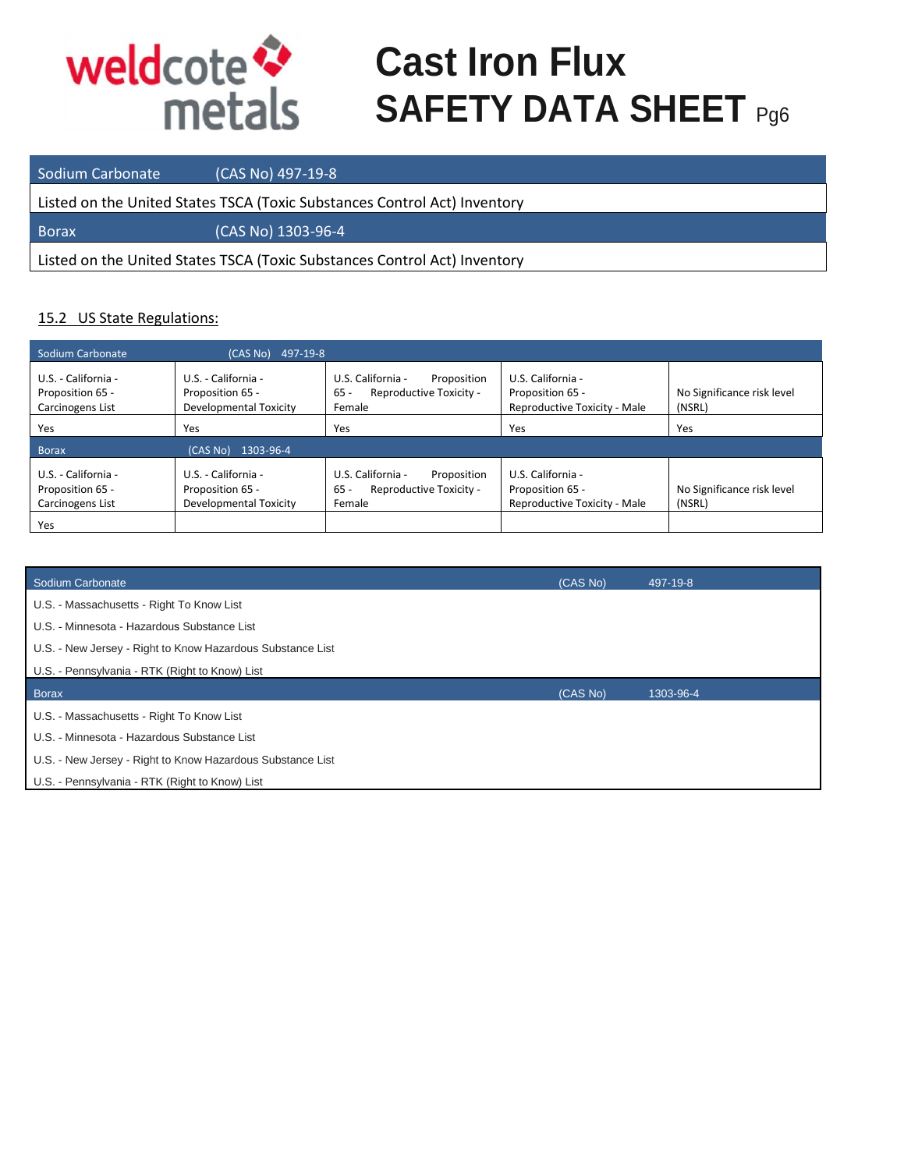

## **Cast Iron Flux SAFETY DATA SHEET** Pg6

Sodium Carbonate (CAS No) 497-19-8 Listed on the United States TSCA (Toxic Substances Control Act) Inventory Borax (CAS No) 1303-96-4 Listed on the United States TSCA (Toxic Substances Control Act) Inventory

### 15.2 US State Regulations:

| Sodium Carbonate                                                   | 497-19-8<br>(CAS No)                                              |                                                                                 |                                                                       |                                      |
|--------------------------------------------------------------------|-------------------------------------------------------------------|---------------------------------------------------------------------------------|-----------------------------------------------------------------------|--------------------------------------|
| U.S. - California -<br>Proposition 65 -<br>Carcinogens List        | U.S. - California -<br>Proposition 65 -<br>Developmental Toxicity | U.S. California -<br>Proposition<br>Reproductive Toxicity -<br>$65 -$<br>Female | U.S. California -<br>Proposition 65 -<br>Reproductive Toxicity - Male | No Significance risk level<br>(NSRL) |
| Yes                                                                | Yes                                                               | Yes                                                                             | Yes                                                                   | Yes                                  |
| <b>Borax</b>                                                       | 1303-96-4<br>(CASNO)                                              |                                                                                 |                                                                       |                                      |
| U.S. - California -<br>Proposition 65 -<br>Carcinogens List<br>Yes | U.S. - California -<br>Proposition 65 -<br>Developmental Toxicity | U.S. California -<br>Proposition<br>Reproductive Toxicity -<br>$65 -$<br>Female | U.S. California -<br>Proposition 65 -<br>Reproductive Toxicity - Male | No Significance risk level<br>(NSRL) |

| Sodium Carbonate                                           | (CAS No) | 497-19-8  |
|------------------------------------------------------------|----------|-----------|
| U.S. - Massachusetts - Right To Know List                  |          |           |
| U.S. - Minnesota - Hazardous Substance List                |          |           |
| U.S. - New Jersey - Right to Know Hazardous Substance List |          |           |
| U.S. - Pennsylvania - RTK (Right to Know) List             |          |           |
|                                                            |          |           |
| <b>Borax</b>                                               | (CAS No) | 1303-96-4 |
| U.S. - Massachusetts - Right To Know List                  |          |           |
| U.S. - Minnesota - Hazardous Substance List                |          |           |
| U.S. - New Jersey - Right to Know Hazardous Substance List |          |           |